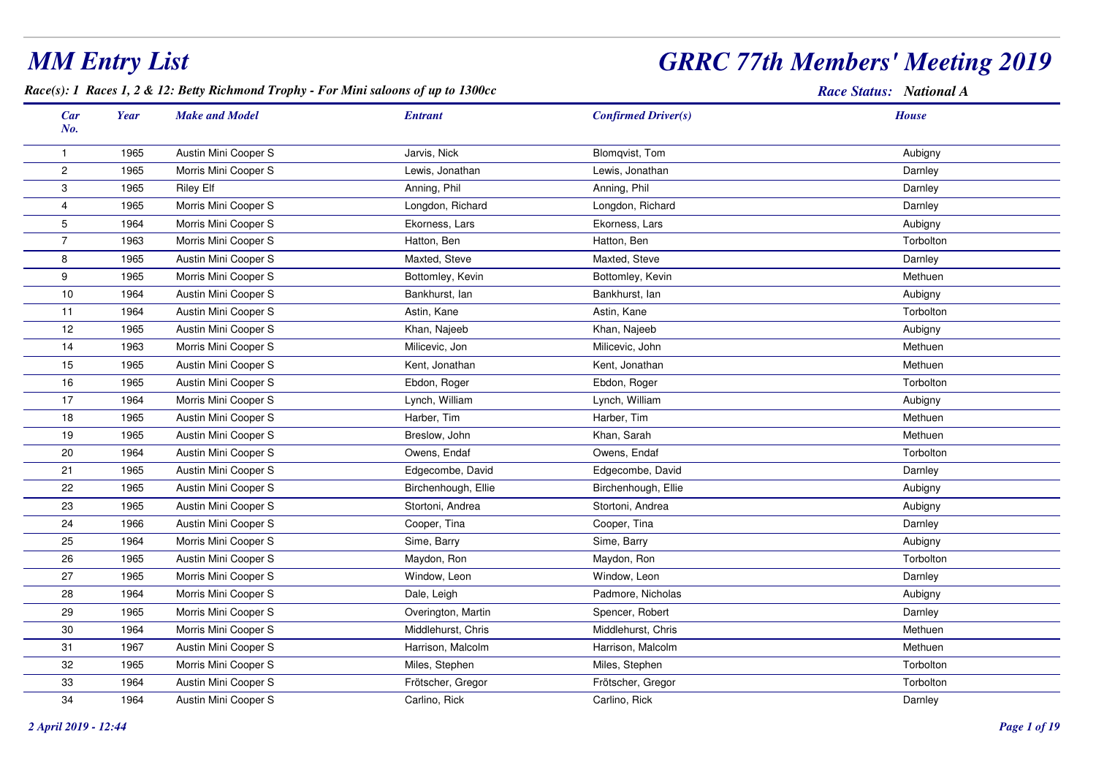## *GRRC 77th Members' Meeting 2019*

*Race(s): 1 Races 1, 2 & 12: Betty Richmond Trophy - For Mini saloons of up to 1300cc*

| Car<br>No.     | <b>Year</b> | <b>Make and Model</b> | <b>Entrant</b>      | <b>Confirmed Driver(s)</b> | <b>House</b> |
|----------------|-------------|-----------------------|---------------------|----------------------------|--------------|
| $\mathbf{1}$   | 1965        | Austin Mini Cooper S  | Jarvis, Nick        | Blomqvist, Tom             | Aubigny      |
| $\overline{c}$ | 1965        | Morris Mini Cooper S  | Lewis, Jonathan     | Lewis, Jonathan            | Darnley      |
| 3              | 1965        | <b>Riley Elf</b>      | Anning, Phil        | Anning, Phil               | Darnley      |
| $\overline{4}$ | 1965        | Morris Mini Cooper S  | Longdon, Richard    | Longdon, Richard           | Darnley      |
| 5              | 1964        | Morris Mini Cooper S  | Ekorness, Lars      | Ekorness, Lars             | Aubigny      |
| $\overline{7}$ | 1963        | Morris Mini Cooper S  | Hatton, Ben         | Hatton, Ben                | Torbolton    |
| 8              | 1965        | Austin Mini Cooper S  | Maxted, Steve       | Maxted, Steve              | Darnley      |
| 9              | 1965        | Morris Mini Cooper S  | Bottomley, Kevin    | Bottomley, Kevin           | Methuen      |
| $10$           | 1964        | Austin Mini Cooper S  | Bankhurst, lan      | Bankhurst, lan             | Aubigny      |
| 11             | 1964        | Austin Mini Cooper S  | Astin, Kane         | Astin, Kane                | Torbolton    |
| 12             | 1965        | Austin Mini Cooper S  | Khan, Najeeb        | Khan, Najeeb               | Aubigny      |
| 14             | 1963        | Morris Mini Cooper S  | Milicevic, Jon      | Milicevic, John            | Methuen      |
| 15             | 1965        | Austin Mini Cooper S  | Kent, Jonathan      | Kent, Jonathan             | Methuen      |
| 16             | 1965        | Austin Mini Cooper S  | Ebdon, Roger        | Ebdon, Roger               | Torbolton    |
| 17             | 1964        | Morris Mini Cooper S  | Lynch, William      | Lynch, William             | Aubigny      |
| 18             | 1965        | Austin Mini Cooper S  | Harber, Tim         | Harber, Tim                | Methuen      |
| 19             | 1965        | Austin Mini Cooper S  | Breslow, John       | Khan, Sarah                | Methuen      |
| 20             | 1964        | Austin Mini Cooper S  | Owens, Endaf        | Owens, Endaf               | Torbolton    |
| 21             | 1965        | Austin Mini Cooper S  | Edgecombe, David    | Edgecombe, David           | Darnley      |
| 22             | 1965        | Austin Mini Cooper S  | Birchenhough, Ellie | Birchenhough, Ellie        | Aubigny      |
| 23             | 1965        | Austin Mini Cooper S  | Stortoni, Andrea    | Stortoni, Andrea           | Aubigny      |
| 24             | 1966        | Austin Mini Cooper S  | Cooper, Tina        | Cooper, Tina               | Darnley      |
| 25             | 1964        | Morris Mini Cooper S  | Sime, Barry         | Sime, Barry                | Aubigny      |
| 26             | 1965        | Austin Mini Cooper S  | Maydon, Ron         | Maydon, Ron                | Torbolton    |
| 27             | 1965        | Morris Mini Cooper S  | Window, Leon        | Window, Leon               | Darnley      |
| 28             | 1964        | Morris Mini Cooper S  | Dale, Leigh         | Padmore, Nicholas          | Aubigny      |
| 29             | 1965        | Morris Mini Cooper S  | Overington, Martin  | Spencer, Robert            | Darnley      |
| 30             | 1964        | Morris Mini Cooper S  | Middlehurst, Chris  | Middlehurst, Chris         | Methuen      |
| 31             | 1967        | Austin Mini Cooper S  | Harrison, Malcolm   | Harrison, Malcolm          | Methuen      |
| 32             | 1965        | Morris Mini Cooper S  | Miles, Stephen      | Miles, Stephen             | Torbolton    |
| 33             | 1964        | Austin Mini Cooper S  | Frötscher, Gregor   | Frötscher, Gregor          | Torbolton    |
| 34             | 1964        | Austin Mini Cooper S  | Carlino, Rick       | Carlino, Rick              | Darnley      |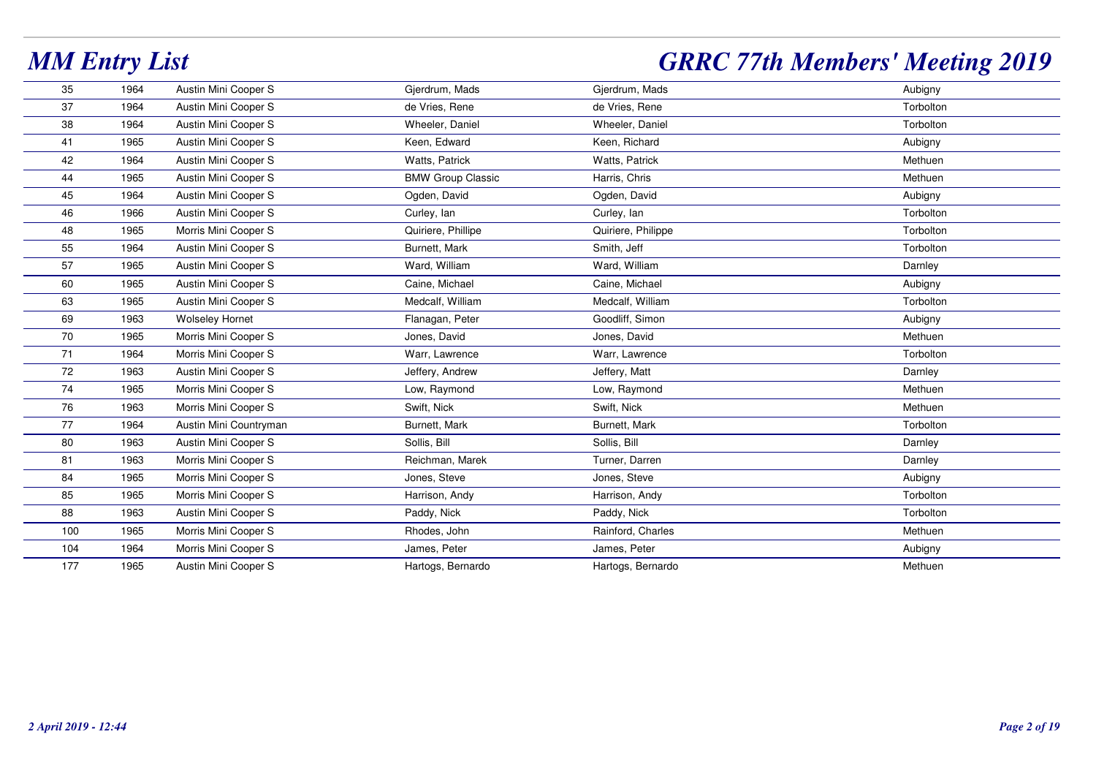| 35  | 1964 | Austin Mini Cooper S   | Gjerdrum, Mads           | Gjerdrum, Mads     | Aubigny   |
|-----|------|------------------------|--------------------------|--------------------|-----------|
| 37  | 1964 | Austin Mini Cooper S   | de Vries, Rene           | de Vries, Rene     | Torbolton |
| 38  | 1964 | Austin Mini Cooper S   | Wheeler, Daniel          | Wheeler, Daniel    | Torbolton |
| 41  | 1965 | Austin Mini Cooper S   | Keen, Edward             | Keen, Richard      | Aubigny   |
| 42  | 1964 | Austin Mini Cooper S   | Watts, Patrick           | Watts, Patrick     | Methuen   |
| 44  | 1965 | Austin Mini Cooper S   | <b>BMW Group Classic</b> | Harris, Chris      | Methuen   |
| 45  | 1964 | Austin Mini Cooper S   | Ogden, David             | Ogden, David       | Aubigny   |
| 46  | 1966 | Austin Mini Cooper S   | Curley, Ian              | Curley, Ian        | Torbolton |
| 48  | 1965 | Morris Mini Cooper S   | Quiriere, Phillipe       | Quiriere, Philippe | Torbolton |
| 55  | 1964 | Austin Mini Cooper S   | Burnett, Mark            | Smith, Jeff        | Torbolton |
| 57  | 1965 | Austin Mini Cooper S   | Ward, William            | Ward, William      | Darnley   |
| 60  | 1965 | Austin Mini Cooper S   | Caine, Michael           | Caine, Michael     | Aubigny   |
| 63  | 1965 | Austin Mini Cooper S   | Medcalf, William         | Medcalf, William   | Torbolton |
| 69  | 1963 | <b>Wolseley Hornet</b> | Flanagan, Peter          | Goodliff, Simon    | Aubigny   |
| 70  | 1965 | Morris Mini Cooper S   | Jones, David             | Jones, David       | Methuen   |
| 71  | 1964 | Morris Mini Cooper S   | Warr, Lawrence           | Warr, Lawrence     | Torbolton |
| 72  | 1963 | Austin Mini Cooper S   | Jeffery, Andrew          | Jeffery, Matt      | Darnley   |
| 74  | 1965 | Morris Mini Cooper S   | Low, Raymond             | Low, Raymond       | Methuen   |
| 76  | 1963 | Morris Mini Cooper S   | Swift, Nick              | Swift, Nick        | Methuen   |
| 77  | 1964 | Austin Mini Countryman | Burnett, Mark            | Burnett, Mark      | Torbolton |
| 80  | 1963 | Austin Mini Cooper S   | Sollis, Bill             | Sollis, Bill       | Darnley   |
| 81  | 1963 | Morris Mini Cooper S   | Reichman, Marek          | Turner, Darren     | Darnley   |
| 84  | 1965 | Morris Mini Cooper S   | Jones, Steve             | Jones, Steve       | Aubigny   |
| 85  | 1965 | Morris Mini Cooper S   | Harrison, Andy           | Harrison, Andy     | Torbolton |
| 88  | 1963 | Austin Mini Cooper S   | Paddy, Nick              | Paddy, Nick        | Torbolton |
| 100 | 1965 | Morris Mini Cooper S   | Rhodes, John             | Rainford, Charles  | Methuen   |
| 104 | 1964 | Morris Mini Cooper S   | James, Peter             | James, Peter       | Aubigny   |
| 177 | 1965 | Austin Mini Cooper S   | Hartogs, Bernardo        | Hartogs, Bernardo  | Methuen   |
|     |      |                        |                          |                    |           |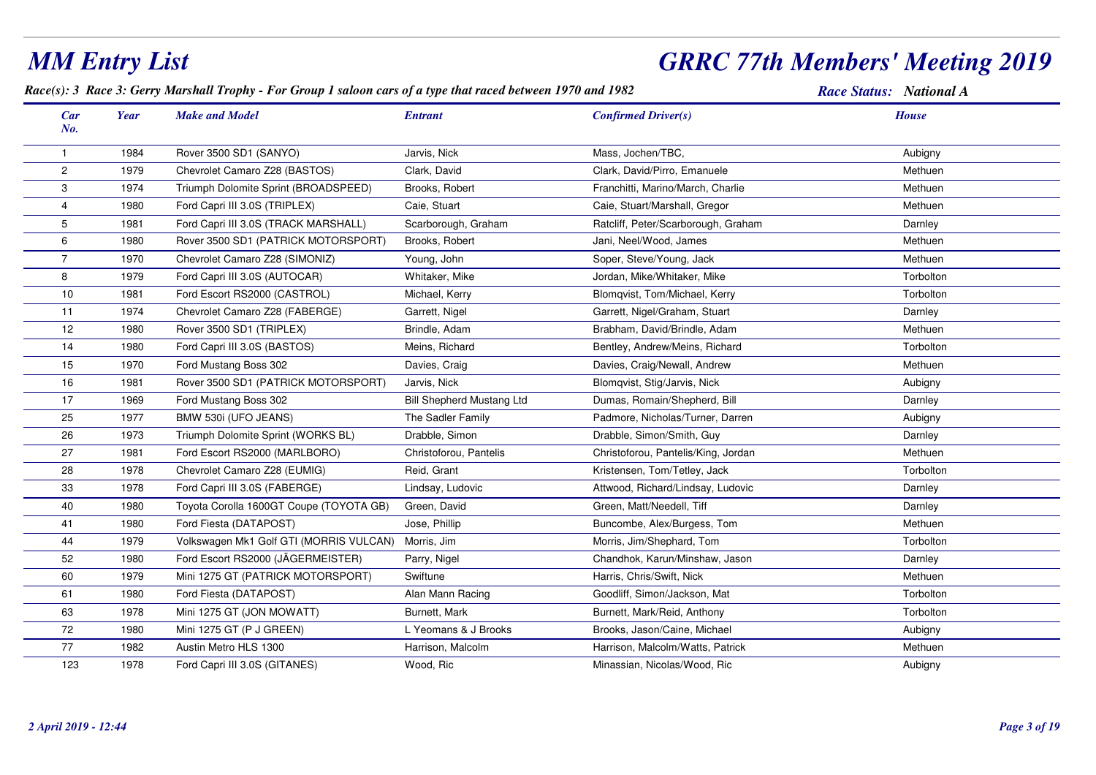#### *MM Entry List GRRC 77th Members' Meeting 2019Race(s): 3 Race 3: Gerry Marshall Trophy - For Group 1 saloon cars of a type that raced between 1970 and 1982 Race Status: National ACar Make and Model EntrantNo.Year Confirmed Driver(s) House*1 <sup>1984</sup> Rover 3500 SD1 (SANYO) Jarvis, Nick Mass, Jochen/TBC, Aubigny 2 <sup>1979</sup> Chevrolet Camaro Z28 (BASTOS) Clark, David Clark, David/Pirro, Emanuele Methuen 31974 Triumph Dolomite Sprint (BROADSPEED) Brooks, Robert Franchitti, Marino/March, Charlie Franchitti, Marino/March, Charlie 4 <sup>1980</sup> Ford Capri III 3.0S (TRIPLEX) Caie, Stuart Caie, Stuart/Marshall, Gregor Methuen 5 <sup>1981</sup>Ford Capri III 3.0S (TRACK MARSHALL) Scarborough, Graham Ratcliff, Peter/Scarborough, Graham<br>Jani, Neel/Wood, James m Darnley 61980 Rover 3500 SD1 (PATRICK MOTORSPORT) Brooks, Robert Jani, Neel/Wood, James Jani, Neel/Wood, James Methuen 7 <sup>1970</sup>Chevrolet Camaro Z28 (SIMONIZ) (Young, John Soper, Steve/Young, Jack Methuen Methuen 81979 Ford Capri III 3.0S (AUTOCAR) Whitaker, Mike Jordan, Mike/Whitaker, Mike Jordan, Mike-Whitaker, Mike Torbolton 10 <sup>1981</sup> Ford Escort RS2000 (CASTROL) Michael, Kerry Blomqvist, Tom/Michael, Kerry Torbolton 111974 Chevrolet Camaro Z28 (FABERGE) Garrett, Nigel Garrett, Nigel Garrett, Nigel/Graham, Stuart Chevrolet Camaro Z28 (FABERGE) 121980 Rover 3500 SD1 (TRIPLEX) Brindle, Adam Brabham, David/Brindle, Adam Methuen 14 <sup>1980</sup> Ford Capri III 3.0S (BASTOS) Meins, Richard Bentley, Andrew/Meins, Richard Torbolton 15 <sup>1970</sup> Ford Mustang Boss 302 Davies, Craig Davies, Craig/Newall, Andrew Methuen 161981 Rover 3500 SD1 (PATRICK MOTORSPORT) Jarvis, Nick Blomqvist, Stig/Jarvis, Nick Aubigny 17 <sup>1969</sup> Ford Mustang Boss 302 Bill Shepherd Mustang Ltd Dumas, Romain/Shepherd, Bill Darnley 25 <sup>1977</sup>BMW 530i (UFO JEANS) The Sadler Family Padmore, Nicholas/Turner, Darren Aubigny Aubigny 261973 Triumph Dolomite Sprint (WORKS BL) Drabble, Simon Drabble, Simon Drabble, Simon/Smith, Guy Darnley Darnley 27 <sup>1981</sup> Ford Escort RS2000 (MARLBORO) Christoforou, Pantelis Christoforou, Pantelis/King, Jordan Methuen 281978 Chevrolet Camaro Z28 (EUMIG) **Reid, Grant Kristensen, Tom/Tetley, Jack** Chevrolet Camaro Z28 (EUMIG) Reid, Grant 33 <sup>1978</sup> Ford Capri III 3.0S (FABERGE) Lindsay, Ludovic Attwood, Richard/Lindsay, Ludovic Darnley 401980 Toyota Corolla 1600GT Coupe (TOYOTA GB) Green, David Green, Matt/Needell, Tiff Green, Matt/Needell, Tiff Darnley 411980 Ford Fiesta (DATAPOST) **Superified State Control Control** Jose, Phillip **Buncombe, Alex/Burgess, Tom** m Methuen 44 <sup>1979</sup> Volkswagen Mk1 Golf GTI (MORRIS VULCAN) Morris, JimMorris, Jim/Shephard, Tom<br>
Parry, Nigel Chandhok, Karun/Minshaw, Jason m Torbolton 52 <sup>1980</sup> Ford Escort RS2000 (JÄGERMEISTER) Parry, Nigel Chandhok, Karun/Minshaw, Jason Darnley 601979 Mini 1275 GT (PATRICK MOTORSPORT) Swiftune Suitune Harris, Chris/Swift, Nick Methuen Methuen 61 <sup>1980</sup> Ford Fiesta (DATAPOST) Alan Mann Racing Goodliff, Simon/Jackson, Mat Torbolton 63 <sup>1978</sup> Mini 1275 GT (JON MOWATT) Burnett, Mark Burnett, Mark/Reid, Anthony Torbolton 72 <sup>1980</sup>Mini 1275 GT (P J GREEN) LYeomans & J Brooks Brooks, Jason/Caine, Michael Aubigny Aubigny 771982 Austin Metro HLS 1300 **Harrison, Malcolm** Harrison, Malcolm/Watts, Patrick<br>
Minassian, Nicolas/Wood, Ric<br>
Minassian, Nicolas/Wood, Ric<br>
Aubigny 1231978 Ford Capri III 3.0S (GITANES) Wood, Ric Chronic Minassian, Nicolas/Wood, Ric Aubigny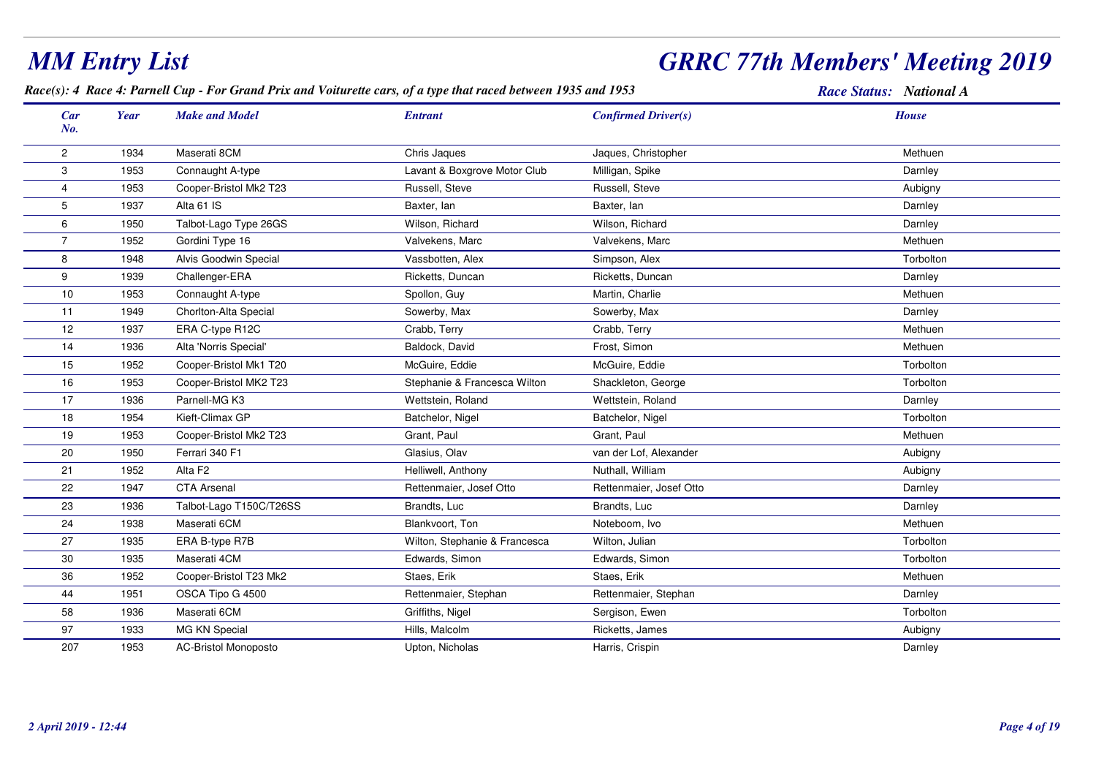#### *Race(s): 4 Race 4: Parnell Cup - For Grand Prix and Voiturette cars, of a type that raced between 1935 and 1953 Race Status: National ACar Make and Model EntrantNo.Year Confirmed Driver(s) House*2 <sup>1934</sup> Maserati 8CMM Chris Jaques Chris Christopher Jaques, Christopher Methuen Methuen Methuen 31953 Connaught A-type **Lavant & Boxgrove Motor Club** Milligan, Spike Connaught A-type Darnley 44 1953 Cooper-Bristol Mk2 T23 Russell, Steve Russell, Steve Russell, Steve Aubigny 5 <sup>1937</sup> Alta 61 ISS and Baxter, Ian Baxter, Ian Baxter and Baxter, Ian Baxter, Ian Darnley Baxter, Ian Darnley 6 <sup>1950</sup> Talbot-Lago Type 26GSS Nilson, Richard Wilson, And Wilson, Richard Wilson, Richard Darnley 77 1952 Gordini Type 16 **Valvekens, Marc** Valvekens, Marc Valvekens, Marc Valvekens, Marc Methuen 8 <sup>1948</sup>8 Alvis Goodwin Special **Network School by Australian School**ton Cassbotten, Alex Simpson, Alex Simpson, Alex Torbolton 9 <sup>1939</sup> Challenger-ERAA Channel Ricketts, Duncan Ricketts, Duncan Ricketts, Duncan Darnley Darnley 100 1953 Connaught A-type Spollon, Guy Martin, Charlie Methuen 111949 Chorlton-Alta Special Sowerby, Max Sowerby, Max Sowerby, Max Sowerby, Max Darnley 12 <sup>1937</sup> ERA C-type R12CCrabb, Terry Crabb, Terry Crabb, Terry Crabb, Terry Crabb, Terry Methuen 14 <sup>1936</sup> Alta 'Norris Special' Baldock, David Frost, Simon Methuen 15 <sup>1952</sup> Cooper-Bristol Mk1 T20 McGuire, Eddie McGuire, Eddie Torbolton 161953 Cooper-Bristol MK2 T23 Stephanie & Francesca Wilton Shackleton, George Cooper-Bristol MK2 T23 177 1936 Parnell-MG K3 Nettstein, Roland Wettstein, Roland Wettstein, Roland Darnley Darnley 18 <sup>1954</sup> Kieft-Climax GPP and Batchelor, Nigel Batchelor, Nigel Batchelor, Nigel Batchelor, Nigel Torbolton 199 1953 Cooper-Bristol Mk2 T23 Grant, Paul Grant, Paul Grant, Paul Grant, Paul Grant, Paul Methuen 200 1950 Ferrari 340 F1 Glasius, Olav Glasius, Olav van der Lof, Alexander Aubigny Aubigny 211952 Alta F2 Nuthall, Milliam Helliwell, Anthony Nuthall, William Nuthall, William Nuthall, William Nuthall, William Nuthall, William Nuthall, William Nuthall, William Nuthall, William Nuthall, William Nuthall, William Nut m Aubigny 222 1947 CTA Arsenal **Rettenmaier, Josef Otto** Rettenmaier, Josef Otto Rettenmaier, Josef Otto Darnley 23 <sup>1936</sup> Talbot-Lago T150C/T26SSS Brandts, Luc Brandts, Luc Brandts, Luc Brandts, Luc Darnley 24 <sup>1938</sup> Maserati 6CMM Blankvoort, Ton Noteboom, Ivo Noteboom, Ivo Methuen Nethuen 27 <sup>1935</sup> ERA B-type R7BWilton, Stephanie & Francesca Wilton, Julian Torbolton, The Context of Torbolton 30 <sup>1935</sup> Maserati 4CMM Edwards, Simon Edwards, Simon Edwards, Simon Edwards, Simon Torbolton 366 1952 Cooper-Bristol T23 Mk2 Staes, Erik Staes, Erik Staes, Erik Staes, Erik Staes, Erik Methuen Staes, Erik Methuen 444 1951 OSCA Tipo G 4500 **Rettenmaier, Stephan** Rettenmaier, Stephan Rettenmaier, Stephan Rettenmaier, Stephan Darnley 58 <sup>1936</sup> Maserati 6CMM Criffiths, Nigel Sergison, Ewen Content Content of Torbolton 97 <sup>1933</sup>MG KN Special **Hills**, Malcolm m Ricketts, James Aubigny 207<sup>1953</sup> AC-Bristol Monoposto Upton, Nicholas Harris, Crispin Darnley

*MM Entry List*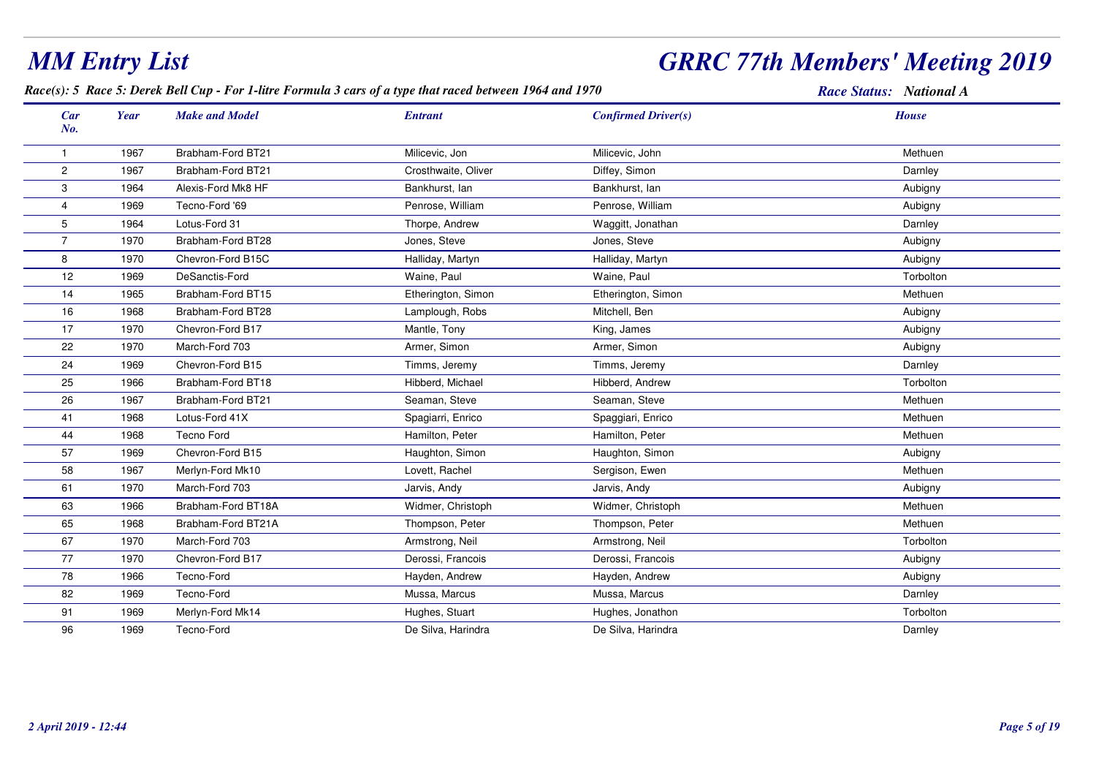## *GRRC 77th Members' Meeting 2019*

#### *Race(s): 5 Race 5: Derek Bell Cup - For 1-litre Formula 3 cars of a type that raced between 1964 and 1970*

| <b>Car</b><br>No.       | <b>Year</b> | <b>Make and Model</b> | <b>Entrant</b>      | <b>Confirmed Driver(s)</b> | <b>House</b> |
|-------------------------|-------------|-----------------------|---------------------|----------------------------|--------------|
| 1                       | 1967        | Brabham-Ford BT21     | Milicevic, Jon      | Milicevic, John            | Methuen      |
| $\overline{\mathbf{c}}$ | 1967        | Brabham-Ford BT21     | Crosthwaite, Oliver | Diffey, Simon              | Darnley      |
| 3                       | 1964        | Alexis-Ford Mk8 HF    | Bankhurst, lan      | Bankhurst, lan             | Aubigny      |
| 4                       | 1969        | Tecno-Ford '69        | Penrose, William    | Penrose, William           | Aubigny      |
| 5                       | 1964        | Lotus-Ford 31         | Thorpe, Andrew      | Waggitt, Jonathan          | Darnley      |
| $\overline{7}$          | 1970        | Brabham-Ford BT28     | Jones, Steve        | Jones, Steve               | Aubigny      |
| 8                       | 1970        | Chevron-Ford B15C     | Halliday, Martyn    | Halliday, Martyn           | Aubigny      |
| 12                      | 1969        | DeSanctis-Ford        | Waine, Paul         | Waine, Paul                | Torbolton    |
| 14                      | 1965        | Brabham-Ford BT15     | Etherington, Simon  | Etherington, Simon         | Methuen      |
| 16                      | 1968        | Brabham-Ford BT28     | Lamplough, Robs     | Mitchell, Ben              | Aubigny      |
| 17                      | 1970        | Chevron-Ford B17      | Mantle, Tony        | King, James                | Aubigny      |
| 22                      | 1970        | March-Ford 703        | Armer, Simon        | Armer, Simon               | Aubigny      |
| 24                      | 1969        | Chevron-Ford B15      | Timms, Jeremy       | Timms, Jeremy              | Darnley      |
| 25                      | 1966        | Brabham-Ford BT18     | Hibberd, Michael    | Hibberd, Andrew            | Torbolton    |
| 26                      | 1967        | Brabham-Ford BT21     | Seaman, Steve       | Seaman, Steve              | Methuen      |
| 41                      | 1968        | Lotus-Ford 41X        | Spagiarri, Enrico   | Spaggiari, Enrico          | Methuen      |
| 44                      | 1968        | <b>Tecno Ford</b>     | Hamilton, Peter     | Hamilton, Peter            | Methuen      |
| 57                      | 1969        | Chevron-Ford B15      | Haughton, Simon     | Haughton, Simon            | Aubigny      |
| 58                      | 1967        | Merlyn-Ford Mk10      | Lovett, Rachel      | Sergison, Ewen             | Methuen      |
| 61                      | 1970        | March-Ford 703        | Jarvis, Andy        | Jarvis, Andy               | Aubigny      |
| 63                      | 1966        | Brabham-Ford BT18A    | Widmer, Christoph   | Widmer, Christoph          | Methuen      |
| 65                      | 1968        | Brabham-Ford BT21A    | Thompson, Peter     | Thompson, Peter            | Methuen      |
| 67                      | 1970        | March-Ford 703        | Armstrong, Neil     | Armstrong, Neil            | Torbolton    |
| 77                      | 1970        | Chevron-Ford B17      | Derossi, Francois   | Derossi, Francois          | Aubigny      |
| 78                      | 1966        | Tecno-Ford            | Hayden, Andrew      | Hayden, Andrew             | Aubigny      |
| 82                      | 1969        | Tecno-Ford            | Mussa, Marcus       | Mussa, Marcus              | Darnley      |
| 91                      | 1969        | Merlyn-Ford Mk14      | Hughes, Stuart      | Hughes, Jonathon           | Torbolton    |
| 96                      | 1969        | Tecno-Ford            | De Silva, Harindra  | De Silva, Harindra         | Darnley      |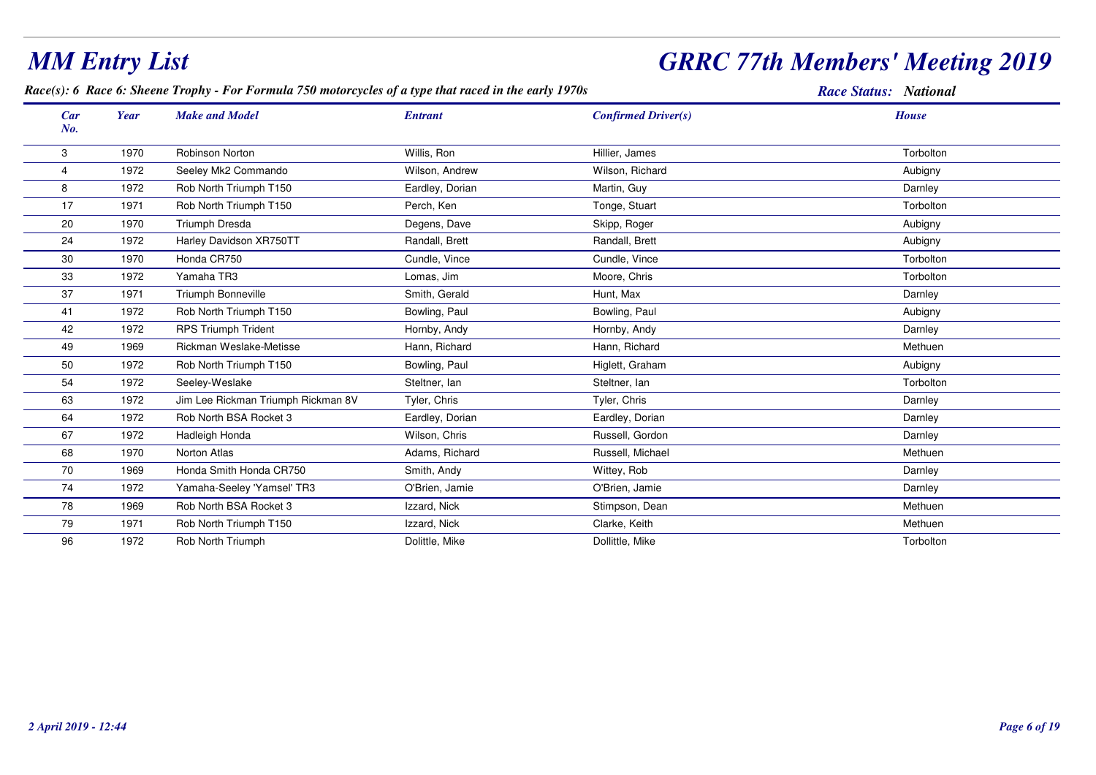#### *Race(s): 6 Race 6: Sheene Trophy - For Formula 750 motorcycles of a type that raced in the early 1970s Race Status: National Car Make and Model EntrantNo.Year Confirmed Driver(s) House*33 1970 Robinson Norton Norton Nullis, Ron Nullis, Ron Hillier, James Nullier, James Nullier, American Schoolton 41972 Seeley Mk2 Commando Wilson, Andrew Wilson, Richard Aubigny 88 1972 Rob North Triumph T150 **Eardley, Dorian Martin, Guy Darnley Darnley** Darnley 177 1971 Rob North Triumph T150 Perch, Ken Tonge, Stuart Tonge, Stuart Torbolton Torbolton 20 <sup>1970</sup> Triumph Dresda Degens, Dave Skipp, Roger Aubigny 24 <sup>1972</sup> Harley Davidson XR750TTT Randall, Brett Randal Aubigny Randall, Brett Randall, Brett Rubigny Randall, Brett Rubigny 30 <sup>1970</sup>0 Honda CR750 Cundle, Vince Cundle, Vince Cundle, Vince Cundle, Vince Cundle, Vince Cundle, Vince Cundle, Vince 33 <sup>1972</sup> Yamaha TR3 Lomas, Jimm Moore, Chris Moore, Chris Torbolton 377 1971 Triumph Bonneville New Smith, Gerald New Hunt, Max Shith, Server States and Darnley States and States and Darnley 411972 Rob North Triumph T150 Bowling, Paul Bowling, Paul Bowling, Paul Bowling, Paul Aubigny 422 1972 RPS Triumph Trident North Hornby, Andy Hornby, Andy Hornby, Andy Hornby, Andy Darnley Darnley 499 1969 Rickman Weslake-Metisse Hann, Richard Hann, Richard Hann, Richard Hann, Richard Hann, Richard Methuen 501972 Rob North Triumph T150 **Bowling, Paul Higlett, Graham** m Aubigny 544 1972 Seeley-Weslake Suite Steltner, Ian Steltner, Ian Steltner, Ian Steltner, Ian Steltner, Ian Steltner, Ian Steltner, Ian Steltner, Ian Steltner, Ian Steltner, Ian Steltner, Ian Steltner, Ian Steltner, Ian Steltner, Ia 63 <sup>1972</sup> Jim Lee Rickman Triumph Rickman 8VV Tyler, Chris Darnley Tyler, Chris Tyler, Chris Tyler, Chris Darnley 64 <sup>1972</sup>2 Rob North BSA Rocket 3 **Eardley, Dorian Barnies and Eardley, Dorian** Eardley, Dorian Darniey Darnley 677 1972 Hadleigh Honda Nullson, Chris Russell, Gordon Darnley Darnley Darnley Russell, Gordon Darnley Darnley Darnley 688 1970 Norton Atlas **Adams, Richard Russell, Michael Russell**, Michael Methuen Methuen 700 1969 Honda Smith Honda CR750 Smith, Andy Smith, Andy Wittey, Rob Number of School Darnley Darnley 74 <sup>1972</sup> Yamaha-Seeley 'Yamsel' TR3 O'Brien, Jamie O'Brien, Jamie Darnley 788 1969 Rob North BSA Rocket 3 **Izzard, Nick Stimpson, Dean** Stimpson, Dean Methuen Methuen 799 1971 Rob North Triumph T150 **In the Late of Late Accept Accept Accept** Clarke, Keith Methuen Methuen Methuen

2 Rob North Triumph **Example 2** Dollittle, Mike Nike Dollittle, Mike Dollittle, Mike Torbolton

## *GRRC 77th Members' Meeting 2019*

96

<sup>1972</sup>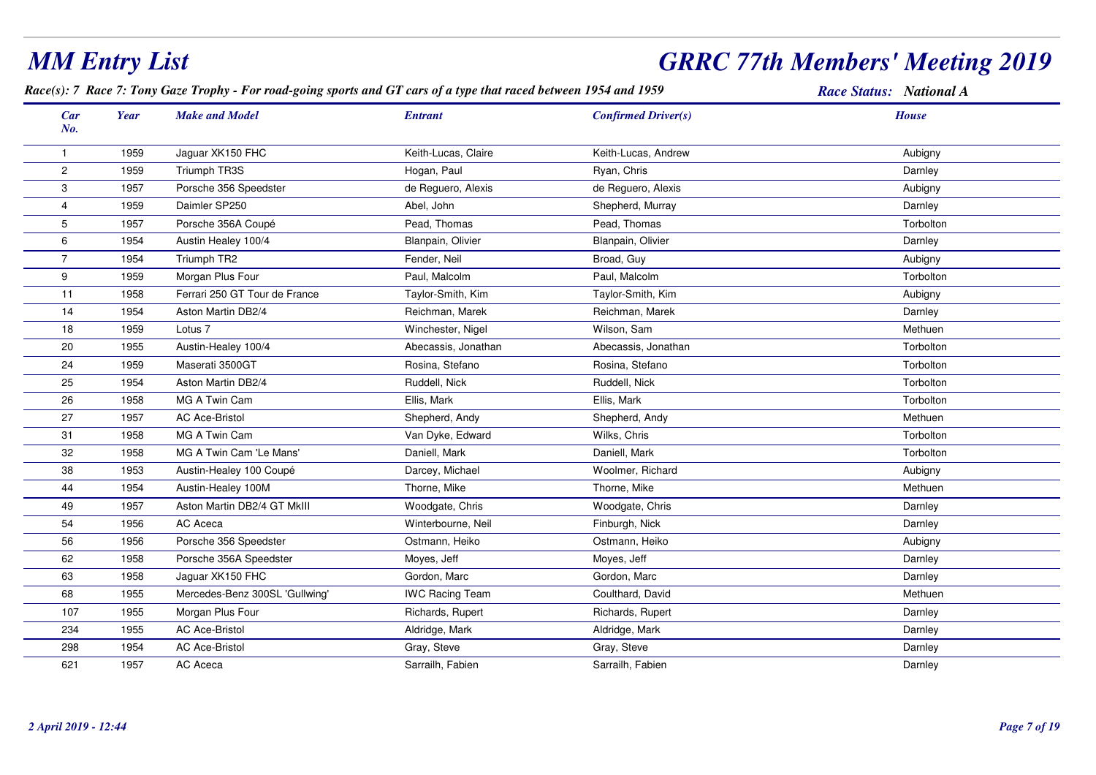| <b>MM Entry List</b> |      |                                                                                                                    |                        | <b>GRRC 77th Members' Meeting 2019</b> |                         |
|----------------------|------|--------------------------------------------------------------------------------------------------------------------|------------------------|----------------------------------------|-------------------------|
|                      |      | Race(s): 7 Race 7: Tony Gaze Trophy - For road-going sports and GT cars of a type that raced between 1954 and 1959 |                        |                                        | Race Status: National A |
| Car<br>No.           | Year | <b>Make and Model</b>                                                                                              | <b>Entrant</b>         | <b>Confirmed Driver(s)</b>             | <b>House</b>            |
| $\mathbf 1$          | 1959 | Jaguar XK150 FHC                                                                                                   | Keith-Lucas, Claire    | Keith-Lucas, Andrew                    | Aubigny                 |
| $\overline{2}$       | 1959 | Triumph TR3S                                                                                                       | Hogan, Paul            | Ryan, Chris                            | Darnley                 |
| 3                    | 1957 | Porsche 356 Speedster                                                                                              | de Reguero, Alexis     | de Reguero, Alexis                     | Aubigny                 |
| 4                    | 1959 | Daimler SP250                                                                                                      | Abel, John             | Shepherd, Murray                       | Darnley                 |
| 5                    | 1957 | Porsche 356A Coupé                                                                                                 | Pead, Thomas           | Pead, Thomas                           | Torbolton               |
| 6                    | 1954 | Austin Healey 100/4                                                                                                | Blanpain, Olivier      | Blanpain, Olivier                      | Darnley                 |
| $\overline{7}$       | 1954 | Triumph TR2                                                                                                        | Fender, Neil           | Broad, Guy                             | Aubigny                 |
| 9                    | 1959 | Morgan Plus Four                                                                                                   | Paul, Malcolm          | Paul, Malcolm                          | Torbolton               |
| 11                   | 1958 | Ferrari 250 GT Tour de France                                                                                      | Taylor-Smith, Kim      | Taylor-Smith, Kim                      | Aubigny                 |
| 14                   | 1954 | Aston Martin DB2/4                                                                                                 | Reichman, Marek        | Reichman, Marek                        | Darnley                 |
| 18                   | 1959 | Lotus <sub>7</sub>                                                                                                 | Winchester, Nigel      | Wilson, Sam                            | Methuen                 |
| 20                   | 1955 | Austin-Healey 100/4                                                                                                | Abecassis, Jonathan    | Abecassis, Jonathan                    | Torbolton               |
| 24                   | 1959 | Maserati 3500GT                                                                                                    | Rosina, Stefano        | Rosina, Stefano                        | Torbolton               |
| 25                   | 1954 | Aston Martin DB2/4                                                                                                 | Ruddell, Nick          | Ruddell, Nick                          | Torbolton               |
| 26                   | 1958 | MG A Twin Cam                                                                                                      | Ellis, Mark            | Ellis, Mark                            | Torbolton               |
| 27                   | 1957 | <b>AC Ace-Bristol</b>                                                                                              | Shepherd, Andy         | Shepherd, Andy                         | Methuen                 |
| 31                   | 1958 | MG A Twin Cam                                                                                                      | Van Dyke, Edward       | Wilks, Chris                           | Torbolton               |
| 32                   | 1958 | MG A Twin Cam 'Le Mans'                                                                                            | Daniell, Mark          | Daniell, Mark                          | Torbolton               |
| 38                   | 1953 | Austin-Healey 100 Coupé                                                                                            | Darcey, Michael        | Woolmer, Richard                       | Aubigny                 |
| 44                   | 1954 | Austin-Healey 100M                                                                                                 | Thorne, Mike           | Thorne, Mike                           | Methuen                 |
| 49                   | 1957 | Aston Martin DB2/4 GT MkIII                                                                                        | Woodgate, Chris        | Woodgate, Chris                        | Darnley                 |
| 54                   | 1956 | AC Aceca                                                                                                           | Winterbourne, Neil     | Finburgh, Nick                         | Darnley                 |
| 56                   | 1956 | Porsche 356 Speedster                                                                                              | Ostmann, Heiko         | Ostmann, Heiko                         | Aubigny                 |
| 62                   | 1958 | Porsche 356A Speedster                                                                                             | Moyes, Jeff            | Moyes, Jeff                            | Darnley                 |
| 63                   | 1958 | Jaguar XK150 FHC                                                                                                   | Gordon, Marc           | Gordon, Marc                           | Darnley                 |
| 68                   | 1955 | Mercedes-Benz 300SL 'Gullwing'                                                                                     | <b>IWC Racing Team</b> | Coulthard, David                       | Methuen                 |
| 107                  | 1955 | Morgan Plus Four                                                                                                   | Richards, Rupert       | Richards, Rupert                       | Darnley                 |
| 234                  | 1955 | <b>AC Ace-Bristol</b>                                                                                              | Aldridge, Mark         | Aldridge, Mark                         | Darnley                 |
| 298                  | 1954 | <b>AC Ace-Bristol</b>                                                                                              | Gray, Steve            | Gray, Steve                            | Darnley                 |
| 621                  | 1957 | AC Aceca                                                                                                           | Sarrailh, Fabien       | Sarrailh, Fabien                       | Darnley                 |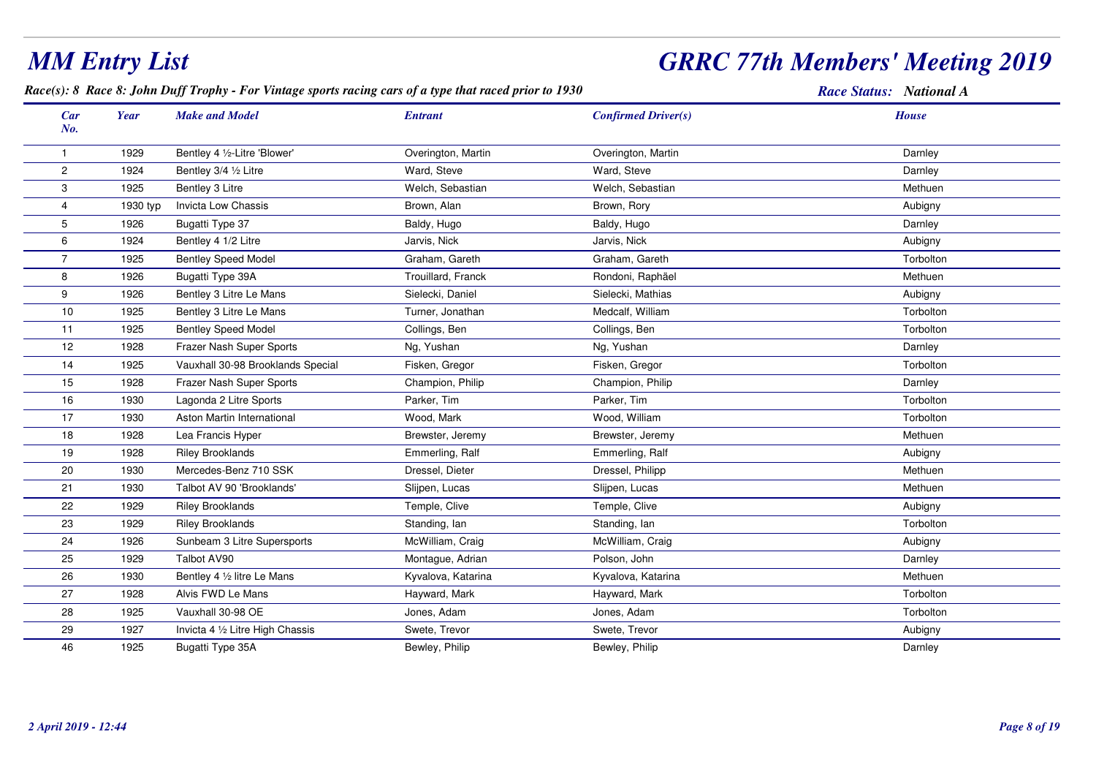## *GRRC 77th Members' Meeting 2019*

*Race(s): 8 Race 8: John Duff Trophy - For Vintage sports racing cars of a type that raced prior to 1930*

| <b>Car</b><br>No. | Year     | <b>Make and Model</b>             | <b>Entrant</b>     | <b>Confirmed Driver(s)</b> | <b>House</b> |
|-------------------|----------|-----------------------------------|--------------------|----------------------------|--------------|
| -1                | 1929     | Bentley 4 1/2-Litre 'Blower'      | Overington, Martin | Overington, Martin         | Darnley      |
| $\overline{2}$    | 1924     | Bentley 3/4 1/2 Litre             | Ward, Steve        | Ward, Steve                | Darnley      |
| 3                 | 1925     | Bentley 3 Litre                   | Welch, Sebastian   | Welch, Sebastian           | Methuen      |
| 4                 | 1930 typ | <b>Invicta Low Chassis</b>        | Brown, Alan        | Brown, Rory                | Aubigny      |
| 5                 | 1926     | Bugatti Type 37                   | Baldy, Hugo        | Baldy, Hugo                | Darnley      |
| 6                 | 1924     | Bentley 4 1/2 Litre               | Jarvis, Nick       | Jarvis, Nick               | Aubigny      |
| $\overline{7}$    | 1925     | <b>Bentley Speed Model</b>        | Graham, Gareth     | Graham, Gareth             | Torbolton    |
| 8                 | 1926     | Bugatti Type 39A                  | Trouillard, Franck | Rondoni, Raphäel           | Methuen      |
| 9                 | 1926     | Bentley 3 Litre Le Mans           | Sielecki, Daniel   | Sielecki, Mathias          | Aubigny      |
| 10                | 1925     | Bentley 3 Litre Le Mans           | Turner, Jonathan   | Medcalf, William           | Torbolton    |
| 11                | 1925     | <b>Bentley Speed Model</b>        | Collings, Ben      | Collings, Ben              | Torbolton    |
| 12                | 1928     | Frazer Nash Super Sports          | Ng, Yushan         | Ng, Yushan                 | Darnley      |
| 14                | 1925     | Vauxhall 30-98 Brooklands Special | Fisken, Gregor     | Fisken, Gregor             | Torbolton    |
| 15                | 1928     | Frazer Nash Super Sports          | Champion, Philip   | Champion, Philip           | Darnley      |
| 16                | 1930     | Lagonda 2 Litre Sports            | Parker, Tim        | Parker, Tim                | Torbolton    |
| 17                | 1930     | Aston Martin International        | Wood, Mark         | Wood, William              | Torbolton    |
| 18                | 1928     | Lea Francis Hyper                 | Brewster, Jeremy   | Brewster, Jeremy           | Methuen      |
| 19                | 1928     | <b>Riley Brooklands</b>           | Emmerling, Ralf    | Emmerling, Ralf            | Aubigny      |
| 20                | 1930     | Mercedes-Benz 710 SSK             | Dressel, Dieter    | Dressel, Philipp           | Methuen      |
| 21                | 1930     | Talbot AV 90 'Brooklands'         | Slijpen, Lucas     | Slijpen, Lucas             | Methuen      |
| 22                | 1929     | <b>Riley Brooklands</b>           | Temple, Clive      | Temple, Clive              | Aubigny      |
| 23                | 1929     | <b>Riley Brooklands</b>           | Standing, Ian      | Standing, lan              | Torbolton    |
| 24                | 1926     | Sunbeam 3 Litre Supersports       | McWilliam, Craig   | McWilliam, Craig           | Aubigny      |
| 25                | 1929     | Talbot AV90                       | Montague, Adrian   | Polson, John               | Darnley      |
| 26                | 1930     | Bentley 4 1/2 litre Le Mans       | Kyvalova, Katarina | Kyvalova, Katarina         | Methuen      |
| 27                | 1928     | Alvis FWD Le Mans                 | Hayward, Mark      | Hayward, Mark              | Torbolton    |
| 28                | 1925     | Vauxhall 30-98 OE                 | Jones, Adam        | Jones, Adam                | Torbolton    |
| 29                | 1927     | Invicta 4 1/2 Litre High Chassis  | Swete, Trevor      | Swete, Trevor              | Aubigny      |
| 46                | 1925     | Bugatti Type 35A                  | Bewley, Philip     | Bewley, Philip             | Darnley      |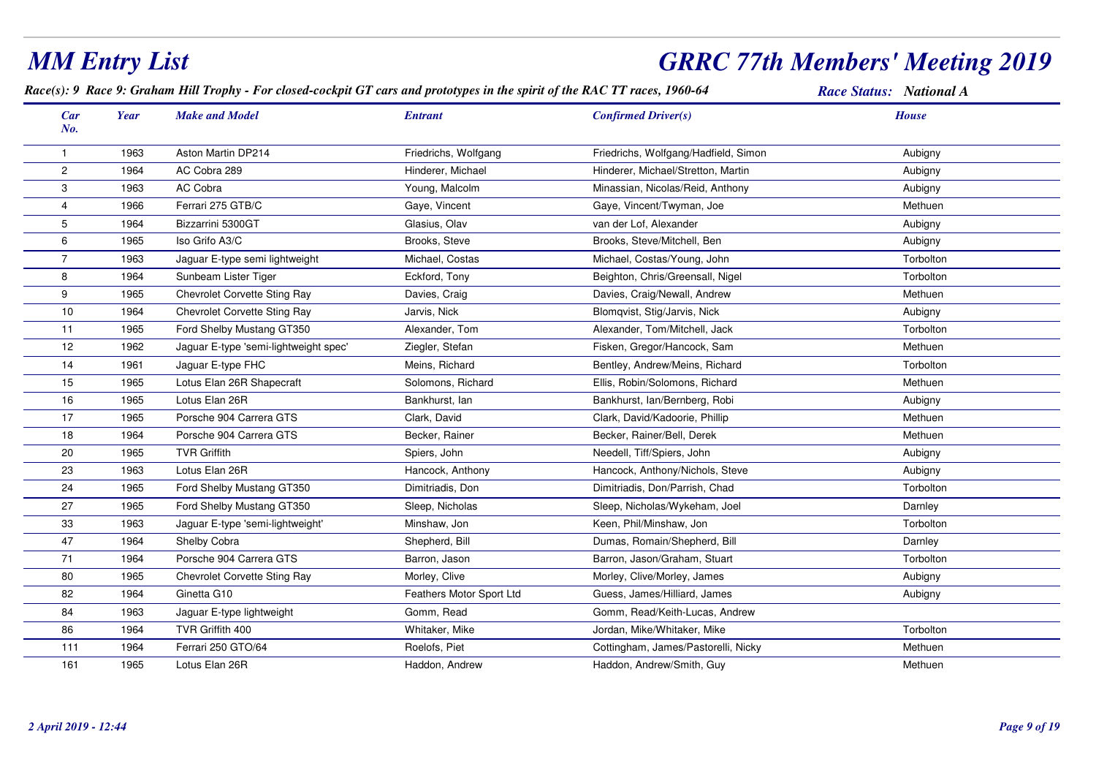#### *MM Entry List GRRC 77th Members' Meeting 2019Race(s): 9 Race 9: Graham Hill Trophy - For closed-cockpit GT cars and prototypes in the spirit of the RAC TT races, 1960-64 Race Status: National ACar Make and Model EntrantNo.Year Confirmed Driver(s) House*1 <sup>1963</sup> Aston Martin DP214 Friedrichs, Wolfgang Friedrichs, Wolfgang/Hadfield, Simon Aubigny 21964 AC Cobra 289 **Hinderer, Michael Hinderer, Michael Hinderer**, Michael/Stretton, Martin Aubigny 31963 AC Cobra **Xampiga AC Cobra AC Cobra AC Cobra AC AC AC ACC** Now Young, Malcolm Minassian, Nicolas/Reid, Anthony Minassian, Aubigny 4 <sup>1966</sup> Ferrari 275 GTB/CGaye, Vincent **Gaye, Vincent/Twyman, Joe Caye, Accepted** Methuen 5 <sup>1964</sup> Bizzarrini 5300GTT School Glasius, Olav van der Lof, Alexander Van der Loften Aubigny Aubigny 6 <sup>1965</sup> Iso Grifo A3/CBrooks, Steve and Aubigny Brooks, Steve/Mitchell, Ben and Aubigny and Aubigny Aubigny 7 <sup>1963</sup> Jaguar E-type semi lightweight Michael, Costas Michael, Costas/Young, John Torbolton 81964 Sunbeam Lister Tiger **Eckford, Tony** Eckford, Tony Beighton, Chris/Greensall, Nigel Sunbeam Lister Torbolton 9 <sup>1965</sup> Chevrolet Corvette Sting Ray Davies, Craig Davies, Craig/Newall, Andrew Methuen 100 1964 Chevrolet Corvette Sting Ray Jarvis, Nick Blomqvist, Stig/Jarvis, Nick Aubigny 11 <sup>1965</sup> Ford Shelby Mustang GT350 Alexander, TomAlexander, Tom/Mitchell, Jack Torbolton<br>
Fisken, Gregor/Hancock, Sam Methuen 121962 Jaguar E-type 'semi-lightweight spec' Ziegler, Stefan m Methuen 14 <sup>1961</sup> Jaguar E-type FHCMeins, Richard **Bentley, Andrew/Meins, Richard** Books, Torbolton 151965 Lotus Elan 26R Shapecraft Solomons, Richard Ellis, Robin/Solomons, Richard Methuen 16 <sup>1965</sup> Lotus Elan 26RBankhurst, Ian and Bankhurst, Ian/Bernberg, Robi and Bankhurst, Ian/Bernberg, Robi 17 <sup>1965</sup> Porsche 904 Carrera GTSClark, David Clark, David/Kadoorie, Phillip Methuen Methuen 18 <sup>1964</sup> Porsche 904 Carrera GTSBecker, Rainer Methuen Becker, Rainer/Bell, Derek Methuen Methuen Methuen 200 1965 TVR Griffith Spiers, John Needell, Tiff/Spiers, John Needell, Spiers, Spiers, Spiers, Spiers, Spiers, Spiers, Spiers, Spiers, Spiers, Spiers, Spiers, Spiers, Spiers, Spiers, Spiers, Spiers, Spiers, Spiers, Spiers, S 23 <sup>1963</sup> Lotus Elan 26RHancock, Anthony **Hancock, Anthony/Nichols, Steve** Aubigny Aubigny 24 <sup>1965</sup> Ford Shelby Mustang GT350 Dimitriadis, Don Dimitriadis, Don/Parrish, Chad Torbolton 27 <sup>1965</sup> Ford Shelby Mustang GT350 Sleep, Nicholas Sleep, Nicholas/Wykeham, Joel Darnley 331963 Jaguar E-type 'semi-lightweight' Minshaw, Jon Keen, Phil/Minshaw, Jon Torbolton Torbolton 47 <sup>1964</sup>Shelby Cobra Shepherd, Bill Shepherd, Bill Darnley Dumas, Romain/Shepherd, Bill Darnley 71 <sup>1964</sup> Porsche 904 Carrera GTS Barron, Jason Barron, Jason/Graham, Stuart Torbolton 801965 Chevrolet Corvette Sting Ray Morley, Clive Morley, Clive Morley, Clive/Morley, James Chevrolet Corvette Sting Ray 822 1964 Ginetta G10 Chroman Chroman Feathers Motor Sport Ltd Guess, James/Hilliard, James Chroman Aubigny 84 <sup>1963</sup> Jaguar E-type lightweight Gomm, Read Gomm, Read/Keith-Lucas, Andrew86 <sup>1964</sup>4 TVR Griffith 400 **Music Constant Constant Constant Music Constant Constant Constant Constant Constant Torbolton** 1111964 Ferrari 250 GTO/64 **Ferrari 250 GTO/64** Roelofs, Piet **Cottingham, James/Pastorelli, Nicky** Ferrari 250 GTO/64 161 <sup>1965</sup> Lotus Elan 26RHaddon, Andrew **Methuen** Haddon, Andrew/Smith, Guy **Methuen** Methuen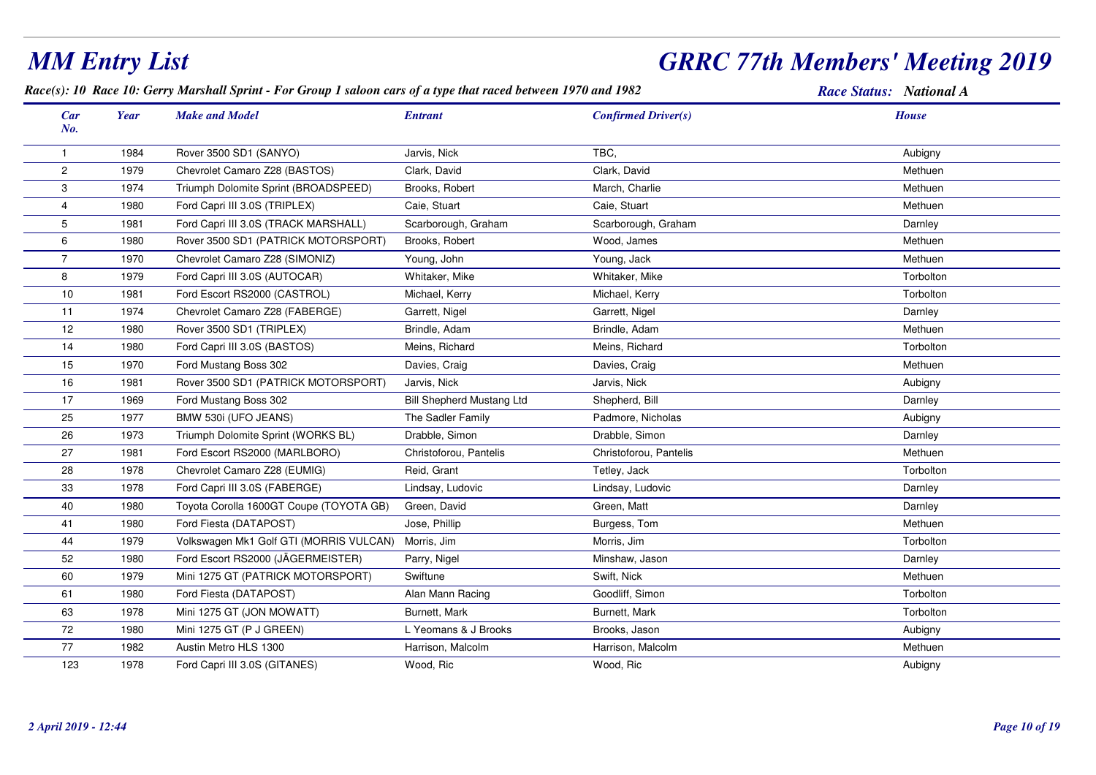#### *Race(s): 10 Race 10: Gerry Marshall Sprint - For Group 1 saloon cars of a type that raced between 1970 and 1982 Race Status: National ACar Make and Model EntrantNo.Year Confirmed Driver(s) House*11984 Rover 3500 SD1 (SANYO) **Solution State State Aubigny** Jarvis, Nick TBC, TBC, TBC, Aubigny Aubigny Aubigny 21979 Chevrolet Camaro Z28 (BASTOS) Clark, David Clark, David Clark, David Clark, David Clark, Outlook Clark, David 31974 Triumph Dolomite Sprint (BROADSPEED) Brooks, Robert March, Charlie Methuen Methuen Methuen 4 <sup>1980</sup> Ford Capri III 3.0S (TRIPLEX) Caie, Stuart Caie, Stuart Methuen 5 <sup>1981</sup>Ford Capri III 3.0S (TRACK MARSHALL) Scarborough, Graham Scarborough, Graham<br>Wood, James m Darnley 61980 Rover 3500 SD1 (PATRICK MOTORSPORT) Brooks, Robert Wood, James Wood, James Methuen 7 <sup>1970</sup>Chevrolet Camaro Z28 (SIMONIZ) Young, John Young, John Young, Jack Young, Jack Methuen 8 <sup>1979</sup> Ford Capri III 3.0S (AUTOCAR) Whitaker, Mike Whitaker, Mike Torbolton 10 <sup>1981</sup> Ford Escort RS2000 (CASTROL) Michael, Kerry Michael, Kerry Torbolton 111974 Chevrolet Camaro Z28 (FABERGE) Garrett, Nigel Garrett, Garrett, Nigel Garrett, Nigel Garrett, Nigel Darnley 121980 Rover 3500 SD1 (TRIPLEX) Brindle, Adam m Brindle, Adam Brindle, Adam Methuen 141980 Ford Capri III 3.0S (BASTOS) **Meins, Richard Meins, Richard Meins, Richard** Meins, Richard Torbolton 155 1970 Ford Mustang Boss 302 Davies, Craig Davies, Craig Davies, Craig Davies, Craig Davies, Craig Davies, Craig Davies, Craig Davies, Craig Davies, Craig Davies, Cra 161981 Rover 3500 SD1 (PATRICK MOTORSPORT) Jarvis, Nick Jarvis, Nick Jarvis, Nick Jarvis, Nick Aubigny 17 <sup>1969</sup> Ford Mustang Boss 302 Bill Shepherd Mustang Ltd Shepherd, Bill Darnley 25 <sup>1977</sup>7 BMW 530i (UFO JEANS) The Sadler Family Padmore, Nicholas Aubigny Aubigny 261973 Triumph Dolomite Sprint (WORKS BL) Drabble, Simon Drabble, Simon Drabble, Simon Darnley 27 <sup>1981</sup> Ford Escort RS2000 (MARLBORO) Christoforou, Pantelis Christoforou, Pantelis Methuen 288 1978 Chevrolet Camaro Z28 (EUMIG) Reid, Grant Tetley, Jack Tetley, Jack Torbolton Chevrolet Camaro Z28 (EUMIG) 33 <sup>1978</sup> Ford Capri III 3.0S (FABERGE) Lindsay, Ludovic Lindsay, Ludovic Darnley 401980 Toyota Corolla 1600GT Coupe (TOYOTA GB) Green, David Green, Matt Green, Matt Green, Matt Darnley 411980 Ford Fiesta (DATAPOST) and Some Jose, Phillip Burgess, Tom Burgess, Tom m Methuen 44 <sup>1979</sup> Volkswagen Mk1 Golf GTI (MORRIS VULCAN) Morris, JimMorris, Jim<br>
Parry, Nigel<br>
Parry, Nigel<br>
Minshaw, Jason Torbolton 521980 Ford Escort RS2000 (JÄGERMEISTER) Parry, Nigel Minshaw, Jason Minshaw, Jason Parry, Darnley 601979 Mini 1275 GT (PATRICK MOTORSPORT) Swiftune Swift, Nick Swift, Nick Swift, Nick Methuen 611980 Ford Fiesta (DATAPOST) Alan Mann Racing Coodliff, Simon The Second Second Torbolton Coodliff, Simon Torbolton 631978 Mini 1275 GT (JON MOWATT) Burnett, Mark Burnett, Mark Burnett, Mark Burnett, Mark Torbolton 72 <sup>1980</sup>Mini 1275 GT (P J GREEN) LYeomans & J Brooks Brooks, Jason Brooks, Jason Aubigny 771982 Austin Metro HLS 1300 Harrison, Malcolm m Methuen Harrison, Malcolm **Methuen** Methuen Methuen 123<sup>1978</sup> Ford Capri III 3.0S (GITANES) Wood, Ric Wood, Ric Aubigny

# *MM Entry List*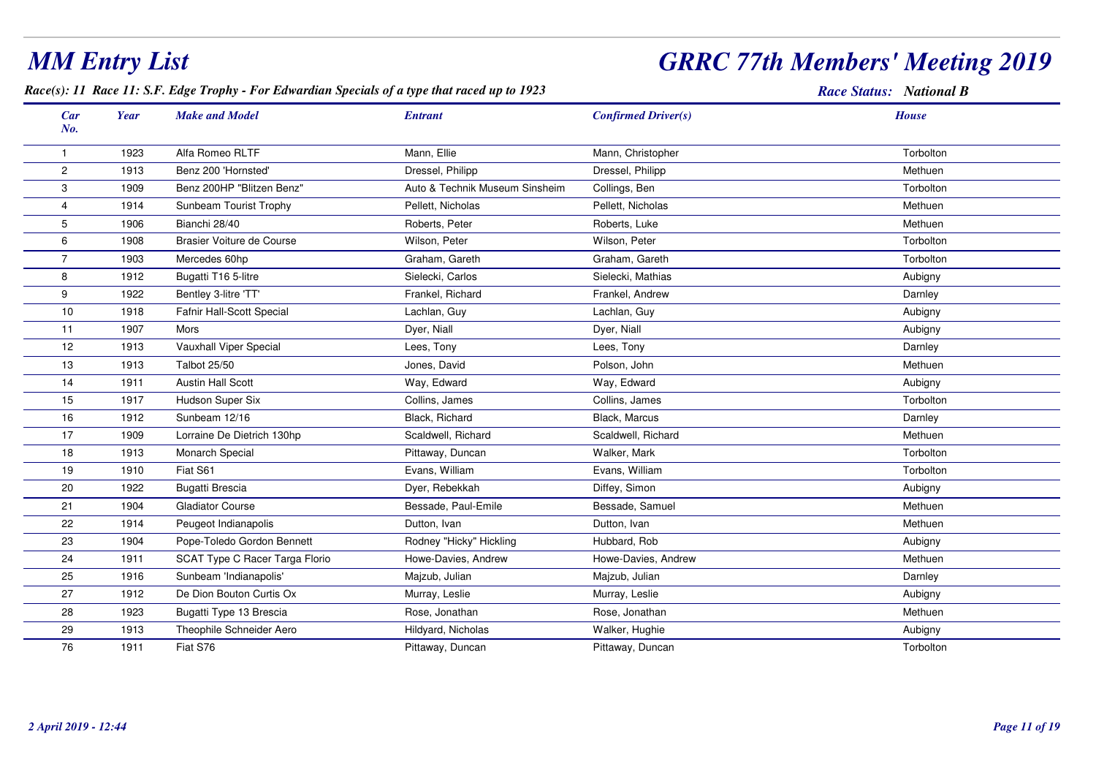## *GRRC 77th Members' Meeting 2019*

#### *Race(s): 11 Race 11: S.F. Edge Trophy - For Edwardian Specials of a type that raced up to 1923*

| Car<br>No.     | <b>Year</b> | <b>Make and Model</b>          | <b>Entrant</b>                 | <b>Confirmed Driver(s)</b> | <b>House</b> |
|----------------|-------------|--------------------------------|--------------------------------|----------------------------|--------------|
|                | 1923        | Alfa Romeo RLTF                | Mann, Ellie                    | Mann, Christopher          | Torbolton    |
| 2              | 1913        | Benz 200 'Hornsted'            | Dressel, Philipp               | Dressel, Philipp           | Methuen      |
| 3              | 1909        | Benz 200HP "Blitzen Benz"      | Auto & Technik Museum Sinsheim | Collings, Ben              | Torbolton    |
| $\overline{4}$ | 1914        | Sunbeam Tourist Trophy         | Pellett, Nicholas              | Pellett, Nicholas          | Methuen      |
| 5              | 1906        | Bianchi 28/40                  | Roberts, Peter                 | Roberts, Luke              | Methuen      |
| 6              | 1908        | Brasier Voiture de Course      | Wilson, Peter                  | Wilson, Peter              | Torbolton    |
| $\overline{7}$ | 1903        | Mercedes 60hp                  | Graham, Gareth                 | Graham, Gareth             | Torbolton    |
| 8              | 1912        | Bugatti T16 5-litre            | Sielecki, Carlos               | Sielecki, Mathias          | Aubigny      |
| 9              | 1922        | Bentley 3-litre 'TT'           | Frankel, Richard               | Frankel, Andrew            | Darnley      |
| 10             | 1918        | Fafnir Hall-Scott Special      | Lachlan, Guy                   | Lachlan, Guy               | Aubigny      |
| 11             | 1907        | <b>Mors</b>                    | Dyer, Niall                    | Dyer, Niall                | Aubigny      |
| 12             | 1913        | Vauxhall Viper Special         | Lees, Tony                     | Lees, Tony                 | Darnley      |
| 13             | 1913        | <b>Talbot 25/50</b>            | Jones, David                   | Polson, John               | Methuen      |
| 14             | 1911        | <b>Austin Hall Scott</b>       | Way, Edward                    | Way, Edward                | Aubigny      |
| 15             | 1917        | Hudson Super Six               | Collins, James                 | Collins, James             | Torbolton    |
| 16             | 1912        | Sunbeam 12/16                  | Black, Richard                 | Black, Marcus              | Darnley      |
| 17             | 1909        | Lorraine De Dietrich 130hp     | Scaldwell, Richard             | Scaldwell, Richard         | Methuen      |
| 18             | 1913        | Monarch Special                | Pittaway, Duncan               | Walker, Mark               | Torbolton    |
| 19             | 1910        | Fiat S61                       | Evans, William                 | Evans, William             | Torbolton    |
| 20             | 1922        | Bugatti Brescia                | Dyer, Rebekkah                 | Diffey, Simon              | Aubigny      |
| 21             | 1904        | <b>Gladiator Course</b>        | Bessade, Paul-Emile            | Bessade, Samuel            | Methuen      |
| 22             | 1914        | Peugeot Indianapolis           | Dutton, Ivan                   | Dutton, Ivan               | Methuen      |
| 23             | 1904        | Pope-Toledo Gordon Bennett     | Rodney "Hicky" Hickling        | Hubbard, Rob               | Aubigny      |
| 24             | 1911        | SCAT Type C Racer Targa Florio | Howe-Davies, Andrew            | Howe-Davies, Andrew        | Methuen      |
| 25             | 1916        | Sunbeam 'Indianapolis'         | Majzub, Julian                 | Majzub, Julian             | Darnley      |
| 27             | 1912        | De Dion Bouton Curtis Ox       | Murray, Leslie                 | Murray, Leslie             | Aubigny      |
| 28             | 1923        | Bugatti Type 13 Brescia        | Rose, Jonathan                 | Rose, Jonathan             | Methuen      |
| 29             | 1913        | Theophile Schneider Aero       | Hildyard, Nicholas             | Walker, Hughie             | Aubigny      |
| 76             | 1911        | Fiat S76                       | Pittaway, Duncan               | Pittaway, Duncan           | Torbolton    |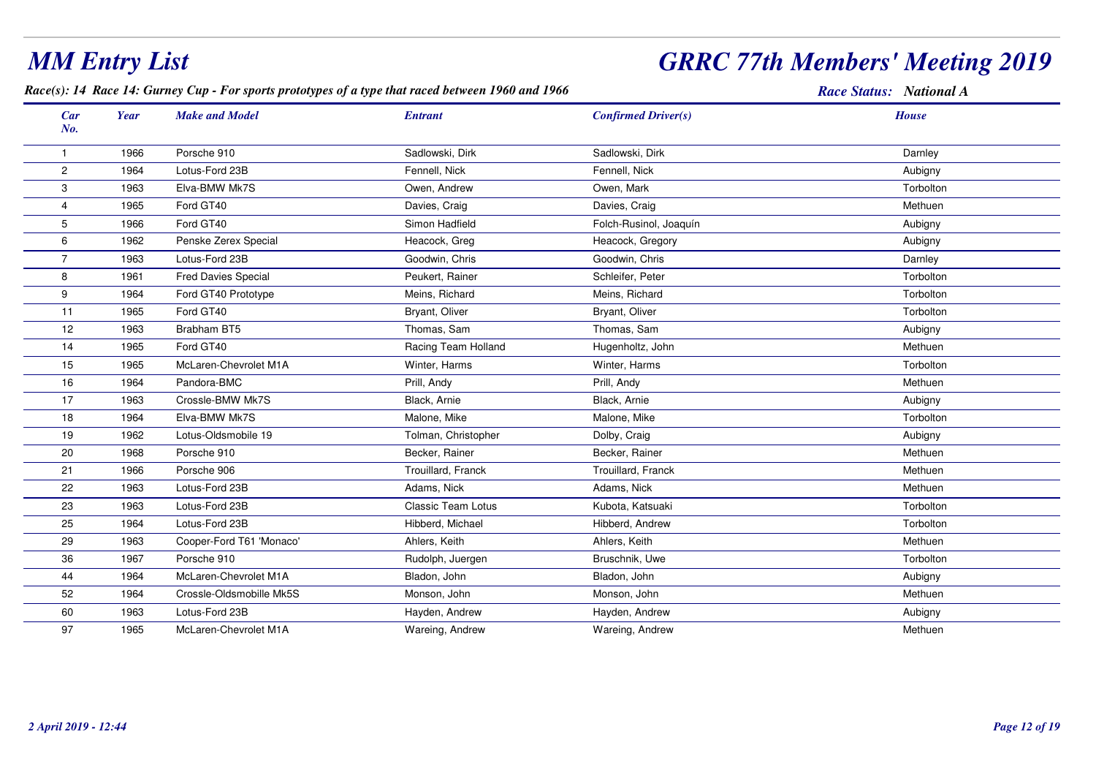## *GRRC 77th Members' Meeting 2019*

#### *Race(s): 14 Race 14: Gurney Cup - For sports prototypes of a type that raced between 1960 and 1966*

| Car            | <b>Year</b> | <b>Make and Model</b>      | <b>Entrant</b>            | <b>Confirmed Driver(s)</b> | <b>House</b> |
|----------------|-------------|----------------------------|---------------------------|----------------------------|--------------|
| No.            |             |                            |                           |                            |              |
| $\mathbf{1}$   | 1966        | Porsche 910                | Sadlowski, Dirk           | Sadlowski, Dirk            | Darnley      |
| $\overline{c}$ | 1964        | Lotus-Ford 23B             | Fennell, Nick             | Fennell, Nick              | Aubigny      |
| 3              | 1963        | Elva-BMW Mk7S              | Owen, Andrew              | Owen, Mark                 | Torbolton    |
| $\overline{4}$ | 1965        | Ford GT40                  | Davies, Craig             | Davies, Craig              | Methuen      |
| 5              | 1966        | Ford GT40                  | Simon Hadfield            | Folch-Rusinol, Joaquín     | Aubigny      |
| 6              | 1962        | Penske Zerex Special       | Heacock, Greg             | Heacock, Gregory           | Aubigny      |
| $\overline{7}$ | 1963        | Lotus-Ford 23B             | Goodwin, Chris            | Goodwin, Chris             | Darnley      |
| 8              | 1961        | <b>Fred Davies Special</b> | Peukert, Rainer           | Schleifer, Peter           | Torbolton    |
| 9              | 1964        | Ford GT40 Prototype        | Meins, Richard            | Meins, Richard             | Torbolton    |
| 11             | 1965        | Ford GT40                  | Bryant, Oliver            | Bryant, Oliver             | Torbolton    |
| 12             | 1963        | Brabham BT5                | Thomas, Sam               | Thomas, Sam                | Aubigny      |
| 14             | 1965        | Ford GT40                  | Racing Team Holland       | Hugenholtz, John           | Methuen      |
| 15             | 1965        | McLaren-Chevrolet M1A      | Winter, Harms             | Winter, Harms              | Torbolton    |
| 16             | 1964        | Pandora-BMC                | Prill, Andy               | Prill, Andy                | Methuen      |
| 17             | 1963        | Crossle-BMW Mk7S           | Black, Arnie              | Black, Arnie               | Aubigny      |
| 18             | 1964        | Elva-BMW Mk7S              | Malone, Mike              | Malone, Mike               | Torbolton    |
| 19             | 1962        | Lotus-Oldsmobile 19        | Tolman, Christopher       | Dolby, Craig               | Aubigny      |
| 20             | 1968        | Porsche 910                | Becker, Rainer            | Becker, Rainer             | Methuen      |
| 21             | 1966        | Porsche 906                | Trouillard, Franck        | Trouillard, Franck         | Methuen      |
| 22             | 1963        | Lotus-Ford 23B             | Adams, Nick               | Adams, Nick                | Methuen      |
| 23             | 1963        | Lotus-Ford 23B             | <b>Classic Team Lotus</b> | Kubota, Katsuaki           | Torbolton    |
| 25             | 1964        | Lotus-Ford 23B             | Hibberd, Michael          | Hibberd, Andrew            | Torbolton    |
| 29             | 1963        | Cooper-Ford T61 'Monaco'   | Ahlers, Keith             | Ahlers, Keith              | Methuen      |
| 36             | 1967        | Porsche 910                | Rudolph, Juergen          | Bruschnik, Uwe             | Torbolton    |
| 44             | 1964        | McLaren-Chevrolet M1A      | Bladon, John              | Bladon, John               | Aubigny      |
| 52             | 1964        | Crossle-Oldsmobille Mk5S   | Monson, John              | Monson, John               | Methuen      |
| 60             | 1963        | Lotus-Ford 23B             | Hayden, Andrew            | Hayden, Andrew             | Aubigny      |
| 97             | 1965        | McLaren-Chevrolet M1A      | Wareing, Andrew           | Wareing, Andrew            | Methuen      |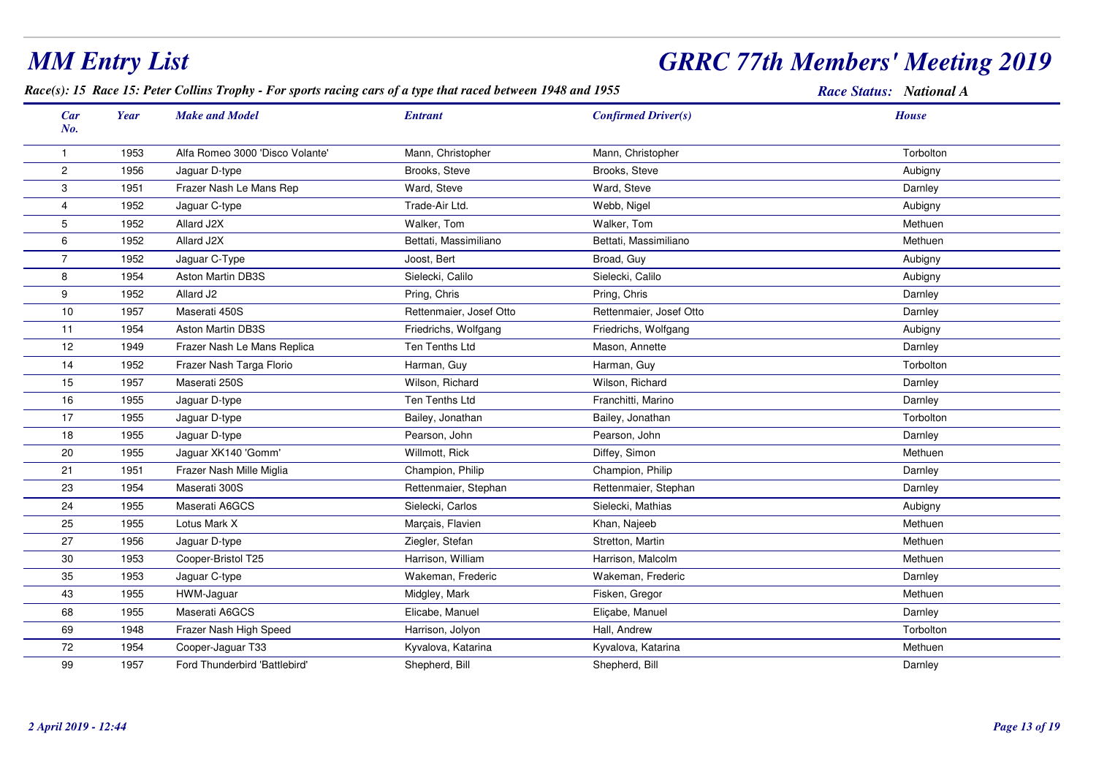#### *Race(s): 15 Race 15: Peter Collins Trophy - For sports racing cars of a type that raced between 1948 and 1955 Race Status: National ACar Make and Model EntrantNo.Year Confirmed Driver(s) House*1 <sup>1953</sup> Alfa Romeo 3000 'Disco Volante' Mann, Christopher Mann, Christopher Torbolton 2 <sup>1956</sup> Jaguar D-type Brooks, Steve Brooks, Steve Aubigny 33 1951 Frazer Nash Le Mans Rep Ward, Steve Ward, Steve Ward, Steve Ward, Steve Darnley Darnley 44 1952 Jaguar C-type **Trade-Air Ltd.** Trade-Air Ltd. Webb, Nigel Aubigny Aubigny 5 <sup>1952</sup> Allard J2X Walker, TomWalker, Tom Walker, Tom Walker, Tom<br>Bettati, Massimiliano Bettati, Massimiliano m Methuen 6 <sup>1952</sup> Allard J2XX 1999 Bettati, Massimiliano Bettati, Massimiliano Bettati, Massimiliano Bettati e al methuen de Methuen de Sa 7 <sup>1952</sup> Jaguar C-Type Joost, Bert Broad, Guy Aubigny 8 <sup>1954</sup> Aston Martin DB3SSielecki, Calilo Sielecki, Calilo Sielecki, Calilo Sielecki, Calilo Aubigny Aubigny 9 <sup>1952</sup> Allard J2 Pring, Chris Pring, Chris Darnley 10 <sup>1957</sup> Maserati 450SS 2000 Rettenmaier, Josef Otto **Rettenmaier, Access Petermaier**, Josef Otto **Rettenmaier**, Josef Otto **Darnley** 11 <sup>1954</sup> Aston Martin DB3SS Aubigny Friedrichs, Wolfgang Friedrichs, Wolfgang Aubigny Aubigny 121949 Frazer Nash Le Mans Replica Ten Ten Tenths Ltd Mason, Annette Ten Tenths Ltd Darnley 14 <sup>1952</sup> Frazer Nash Targa Florio Harman, Guy Harman, Guy Torbolton 15 <sup>1957</sup> Maserati 250SS Milson, Richard Wilson, Richard Wilson, Richard Darnley 166 1955 Jaguar D-type **Ten Tenths Ltd Franchitti, Marino** Parnoley Barnley Darnley Darnley Charney Ten Tenths Ltd 17 <sup>1955</sup>5 Jaguar D-type **Bailey, Jonathan Bailey, Jonathan** Bailey, Jonathan Bailey, Jonathan Torbolton Bailey, Jonathan Torbolton 188 1955 Jaguar D-type Pearson, John Pearson, John Pearson, John Darnley Pearson, John Darnley 200 1955 Jaguar XK140 'Gomm' Willmott, Rick Diffey, Simon Methuen Methuen Methuen Methuen 211951 Frazer Nash Mille Miglia Nash Champion, Philip Champion, Philip Champion, Philip Darnley Darnley Darnley 23 <sup>1954</sup> Maserati 300SS **Symbol Contract Contract Contract Contract Contract Contract Contract Contract Contract Contract Contract Contract Contract Contract Contract Contract Contract Contract Contract Contract Contract Contract Contract Contr** 24 <sup>1955</sup> Maserati A6GCSSielecki, Carlos Charlos Charlos Charlos Charlos Charlos Charlos Charlos Charlos Charlos Charlos Charlos Charlos Charlos Charlos Charlos Charlos Charlos Charlos Charlos Charlos Charlos Charlos Charlos Charlos Charlos Charl 25 <sup>1955</sup> Lotus Mark XX Marçais, Flavien Khan, Najeeb Methuen Methuen Khan, Najeeb Methuen 27 <sup>1956</sup>6 Jaguar D-type **Ziegler, Stefan Stretton, Martin Stretton**, Martin Methuen Methuen Methuen 301953 Cooper-Bristol T25 **Harrison, William** m Methuen Harrison, Malcolm **Methuen** Methuen Methuen 355 1953 Jaguar C-type 1978 Stateman, Frederic Makeman, Frederic Wakeman, Frederic Darnley Darnley Darnley Darnley 43 <sup>1955</sup> HWM-Jaguar Midgley, Mark Fisken, Gregor Methuen 68 <sup>1955</sup> Maserati A6GCSS Channel Elicabe, Manuel **Elicabe, Manuel Elicabe, Manuel** Darnley Darnley Darnley 69 <sup>1948</sup>Frazer Nash High Speed **Harrison, Jolyon** Hall, Andrew Torbolton 72 <sup>1954</sup> Cooper-Jaguar T33 Kyvalova, Katarina Kyvalova, Katarina Methuen 999 1957 Ford Thunderbird 'Battlebird' National Shepherd, Bill Shepherd, Bill Shepherd, Bill Shepherd, Bill Darnley

*MM Entry List*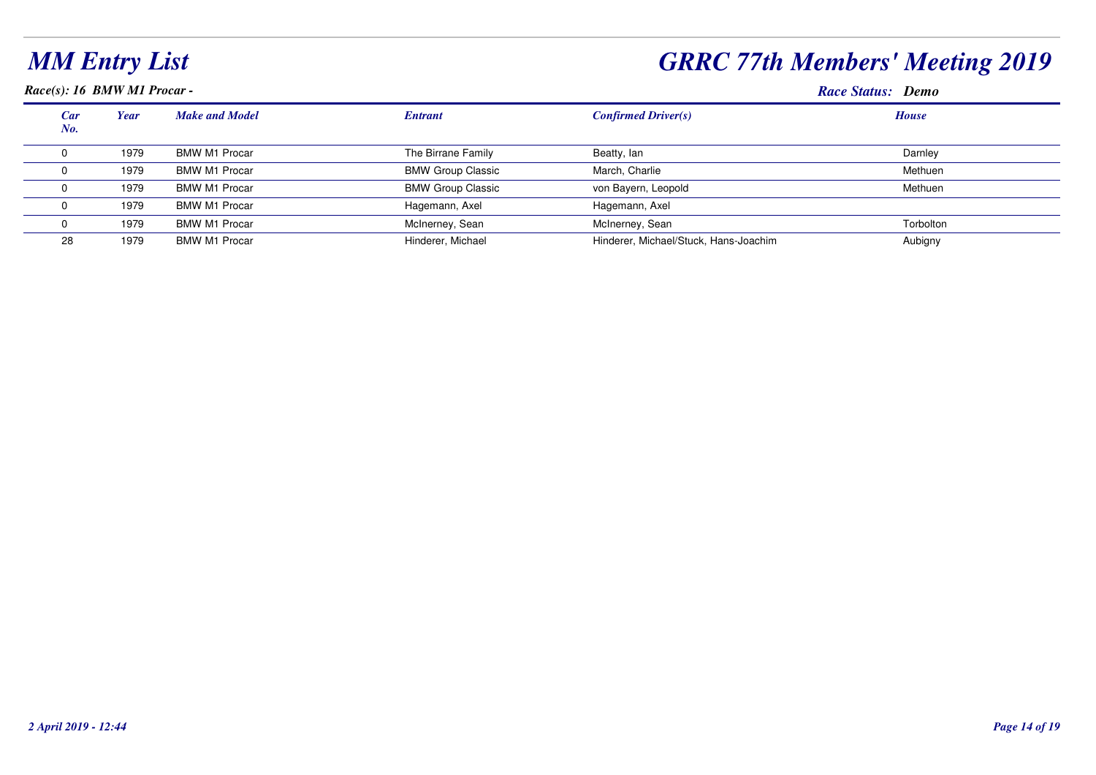## *GRRC 77th Members' Meeting 2019*

*Race(s): 16 BMW M1 Procar -*

#### **Race Status: Demo**

| Car<br>No. | Year | <b>Make and Model</b> | <b>Entrant</b>           | <b>Confirmed Driver(s)</b>            | <b>House</b> |
|------------|------|-----------------------|--------------------------|---------------------------------------|--------------|
|            | 1979 | <b>BMW M1 Procar</b>  | The Birrane Family       | Beatty, lan                           | Darnley      |
|            | 1979 | <b>BMW M1 Procar</b>  | <b>BMW Group Classic</b> | March, Charlie                        | Methuen      |
|            | 1979 | <b>BMW M1 Procar</b>  | <b>BMW Group Classic</b> | von Bayern, Leopold                   | Methuen      |
|            | 1979 | <b>BMW M1 Procar</b>  | Hagemann, Axel           | Hagemann, Axel                        |              |
|            | 1979 | <b>BMW M1 Procar</b>  | McInerney, Sean          | McInerney, Sean                       | Torbolton    |
| 28         | 1979 | <b>BMW M1 Procar</b>  | Hinderer, Michael        | Hinderer, Michael/Stuck, Hans-Joachim | Aubigny      |
|            |      |                       |                          |                                       |              |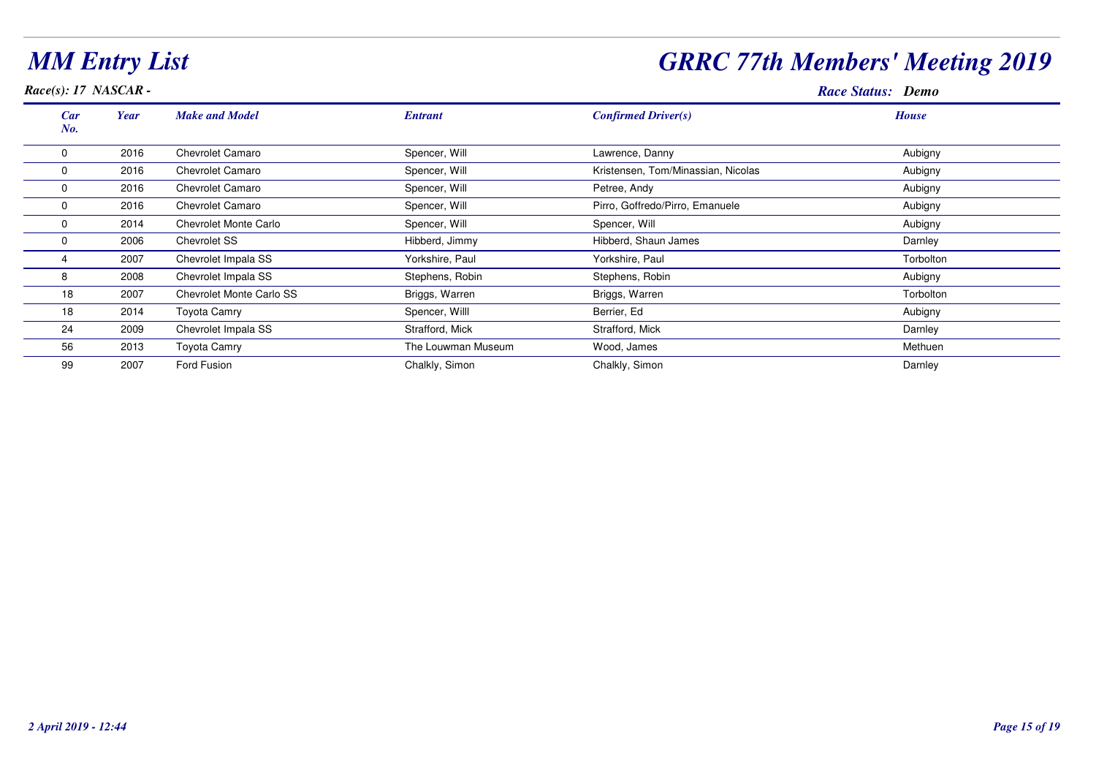| Race(s): 17 NASCAR - |      |                          |                    |                                    | <b>Race Status: Demo</b> |
|----------------------|------|--------------------------|--------------------|------------------------------------|--------------------------|
| Car<br>No.           | Year | <b>Make and Model</b>    | <b>Entrant</b>     | Confirmed Driver(s)                | <b>House</b>             |
| $\Omega$             | 2016 | Chevrolet Camaro         | Spencer, Will      | Lawrence, Danny                    | Aubigny                  |
| 0                    | 2016 | <b>Chevrolet Camaro</b>  | Spencer, Will      | Kristensen, Tom/Minassian, Nicolas | Aubigny                  |
| 0                    | 2016 | <b>Chevrolet Camaro</b>  | Spencer, Will      | Petree, Andy                       | Aubigny                  |
| 0                    | 2016 | <b>Chevrolet Camaro</b>  | Spencer, Will      | Pirro, Goffredo/Pirro, Emanuele    | Aubigny                  |
| 0                    | 2014 | Chevrolet Monte Carlo    | Spencer, Will      | Spencer, Will                      | Aubigny                  |
|                      | 2006 | <b>Chevrolet SS</b>      | Hibberd, Jimmy     | Hibberd, Shaun James               | Darnley                  |
|                      | 2007 | Chevrolet Impala SS      | Yorkshire, Paul    | Yorkshire, Paul                    | Torbolton                |
| 8                    | 2008 | Chevrolet Impala SS      | Stephens, Robin    | Stephens, Robin                    | Aubigny                  |
| 18                   | 2007 | Chevrolet Monte Carlo SS | Briggs, Warren     | Briggs, Warren                     | Torbolton                |
| 18                   | 2014 | Toyota Camry             | Spencer, Willl     | Berrier, Ed                        | Aubigny                  |
| 24                   | 2009 | Chevrolet Impala SS      | Strafford, Mick    | Strafford, Mick                    | Darnley                  |
| 56                   | 2013 | Toyota Camry             | The Louwman Museum | Wood, James                        | Methuen                  |
| 99                   | 2007 | Ford Fusion              | Chalkly, Simon     | Chalkly, Simon                     | Darnley                  |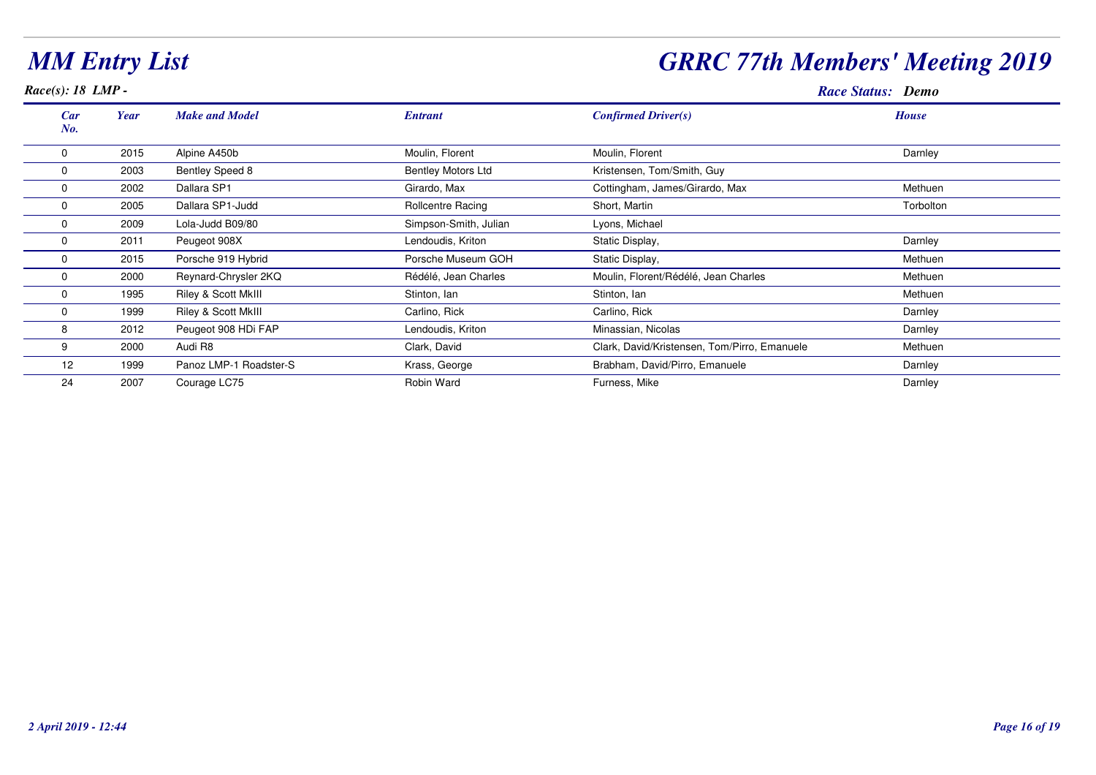#### *Race(s): 18 LMP -*

## *GRRC 77th Members' Meeting 2019*

**Race Status: Demo** 

| Car<br>No. | Year | <b>Make and Model</b>          | <b>Entrant</b>            | <b>Confirmed Driver(s)</b>                   | <b>House</b> |
|------------|------|--------------------------------|---------------------------|----------------------------------------------|--------------|
| 0          | 2015 | Alpine A450b                   | Moulin, Florent           | Moulin, Florent                              | Darnley      |
|            | 2003 | <b>Bentley Speed 8</b>         | <b>Bentley Motors Ltd</b> | Kristensen, Tom/Smith, Guy                   |              |
|            | 2002 | Dallara SP1                    | Girardo, Max              | Cottingham, James/Girardo, Max               | Methuen      |
|            | 2005 | Dallara SP1-Judd               | <b>Rollcentre Racing</b>  | Short, Martin                                | Torbolton    |
| O          | 2009 | Lola-Judd B09/80               | Simpson-Smith, Julian     | Lyons, Michael                               |              |
|            | 2011 | Peugeot 908X                   | Lendoudis, Kriton         | Static Display,                              | Darnley      |
|            | 2015 | Porsche 919 Hybrid             | Porsche Museum GOH        | Static Display,                              | Methuen      |
|            | 2000 | Reynard-Chrysler 2KQ           | Rédélé, Jean Charles      | Moulin, Florent/Rédélé, Jean Charles         | Methuen      |
| $\Omega$   | 1995 | Riley & Scott MkIII            | Stinton, Ian              | Stinton, Ian                                 | Methuen      |
| 0          | 1999 | <b>Riley &amp; Scott MkIII</b> | Carlino, Rick             | Carlino, Rick                                | Darnley      |
| 8          | 2012 | Peugeot 908 HDi FAP            | Lendoudis, Kriton         | Minassian, Nicolas                           | Darnley      |
| 9          | 2000 | Audi R8                        | Clark, David              | Clark, David/Kristensen, Tom/Pirro, Emanuele | Methuen      |
| 12         | 1999 | Panoz LMP-1 Roadster-S         | Krass, George             | Brabham, David/Pirro, Emanuele               | Darnley      |
| 24         | 2007 | Courage LC75                   | Robin Ward                | Furness, Mike                                | Darnley      |
|            |      |                                |                           |                                              |              |